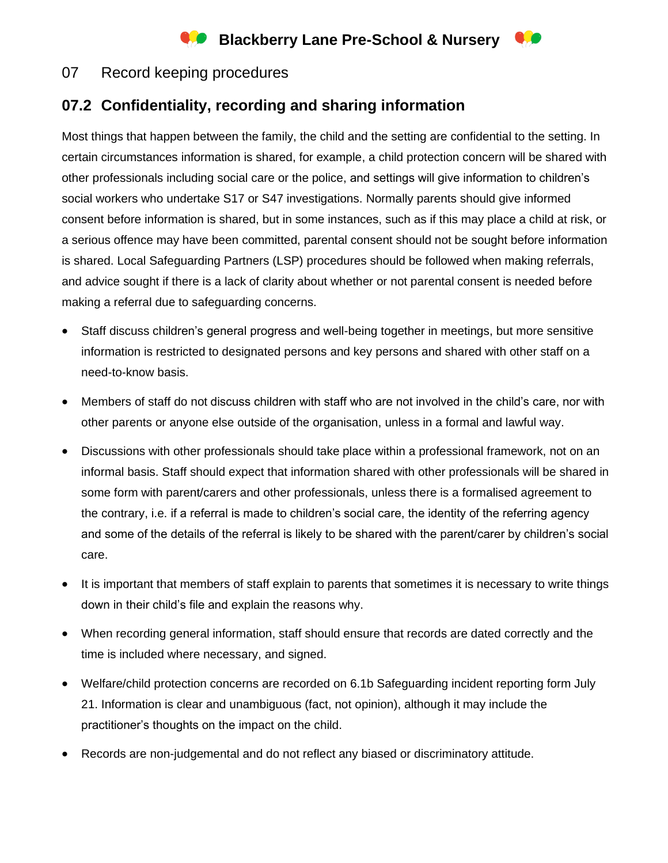# **Blackberry Lane Pre-School & Nursery**



## **07.2 Confidentiality, recording and sharing information**

Most things that happen between the family, the child and the setting are confidential to the setting. In certain circumstances information is shared, for example, a child protection concern will be shared with other professionals including social care or the police, and settings will give information to children's social workers who undertake S17 or S47 investigations. Normally parents should give informed consent before information is shared, but in some instances, such as if this may place a child at risk, or a serious offence may have been committed, parental consent should not be sought before information is shared. Local Safeguarding Partners (LSP) procedures should be followed when making referrals, and advice sought if there is a lack of clarity about whether or not parental consent is needed before making a referral due to safeguarding concerns.

- Staff discuss children's general progress and well-being together in meetings, but more sensitive information is restricted to designated persons and key persons and shared with other staff on a need-to-know basis.
- Members of staff do not discuss children with staff who are not involved in the child's care, nor with other parents or anyone else outside of the organisation, unless in a formal and lawful way.
- Discussions with other professionals should take place within a professional framework, not on an informal basis. Staff should expect that information shared with other professionals will be shared in some form with parent/carers and other professionals, unless there is a formalised agreement to the contrary, i.e. if a referral is made to children's social care, the identity of the referring agency and some of the details of the referral is likely to be shared with the parent/carer by children's social care.
- It is important that members of staff explain to parents that sometimes it is necessary to write things down in their child's file and explain the reasons why.
- When recording general information, staff should ensure that records are dated correctly and the time is included where necessary, and signed.
- Welfare/child protection concerns are recorded on 6.1b Safeguarding incident reporting form July 21. Information is clear and unambiguous (fact, not opinion), although it may include the practitioner's thoughts on the impact on the child.
- Records are non-judgemental and do not reflect any biased or discriminatory attitude.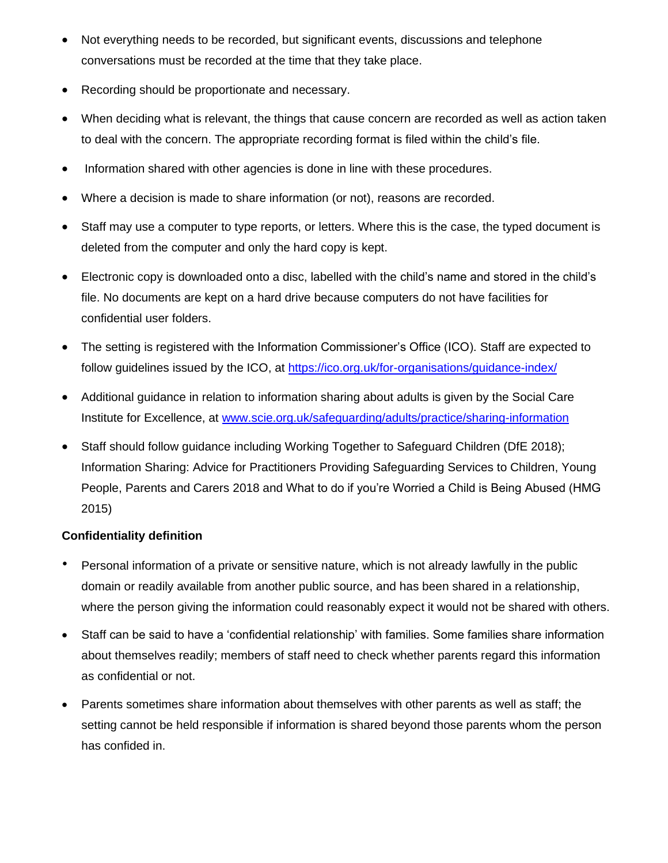- Not everything needs to be recorded, but significant events, discussions and telephone conversations must be recorded at the time that they take place.
- Recording should be proportionate and necessary.
- When deciding what is relevant, the things that cause concern are recorded as well as action taken to deal with the concern. The appropriate recording format is filed within the child's file.
- Information shared with other agencies is done in line with these procedures.
- Where a decision is made to share information (or not), reasons are recorded.
- Staff may use a computer to type reports, or letters. Where this is the case, the typed document is deleted from the computer and only the hard copy is kept.
- Electronic copy is downloaded onto a disc, labelled with the child's name and stored in the child's file. No documents are kept on a hard drive because computers do not have facilities for confidential user folders.
- The setting is registered with the Information Commissioner's Office (ICO). Staff are expected to follow guidelines issued by the ICO, at <https://ico.org.uk/for-organisations/guidance-index/>
- Additional guidance in relation to information sharing about adults is given by the Social Care Institute for Excellence, at [www.scie.org.uk/safeguarding/adults/practice/sharing-information](http://www.scie.org.uk/safeguarding/adults/practice/sharing-information)
- Staff should follow guidance including Working Together to Safeguard Children (DfE 2018); Information Sharing: Advice for Practitioners Providing Safeguarding Services to Children, Young People, Parents and Carers 2018 and What to do if you're Worried a Child is Being Abused (HMG 2015)

### **Confidentiality definition**

- Personal information of a private or sensitive nature, which is not already lawfully in the public domain or readily available from another public source, and has been shared in a relationship, where the person giving the information could reasonably expect it would not be shared with others.
- Staff can be said to have a 'confidential relationship' with families. Some families share information about themselves readily; members of staff need to check whether parents regard this information as confidential or not.
- Parents sometimes share information about themselves with other parents as well as staff; the setting cannot be held responsible if information is shared beyond those parents whom the person has confided in.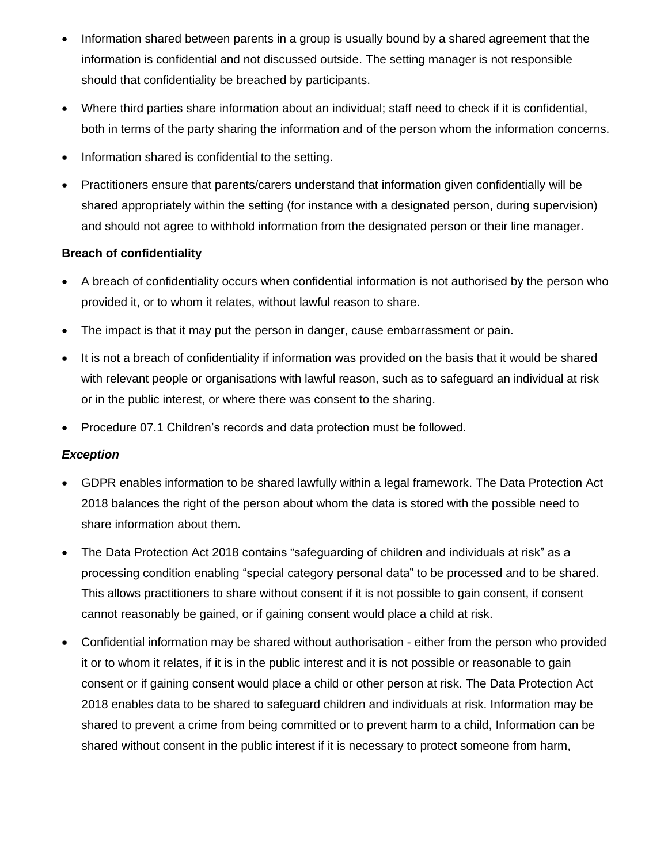- Information shared between parents in a group is usually bound by a shared agreement that the information is confidential and not discussed outside. The setting manager is not responsible should that confidentiality be breached by participants.
- Where third parties share information about an individual; staff need to check if it is confidential, both in terms of the party sharing the information and of the person whom the information concerns.
- Information shared is confidential to the setting.
- Practitioners ensure that parents/carers understand that information given confidentially will be shared appropriately within the setting (for instance with a designated person, during supervision) and should not agree to withhold information from the designated person or their line manager.

### **Breach of confidentiality**

- A breach of confidentiality occurs when confidential information is not authorised by the person who provided it, or to whom it relates, without lawful reason to share.
- The impact is that it may put the person in danger, cause embarrassment or pain.
- It is not a breach of confidentiality if information was provided on the basis that it would be shared with relevant people or organisations with lawful reason, such as to safeguard an individual at risk or in the public interest, or where there was consent to the sharing.
- Procedure 07.1 Children's records and data protection must be followed.

### *Exception*

- GDPR enables information to be shared lawfully within a legal framework. The Data Protection Act 2018 balances the right of the person about whom the data is stored with the possible need to share information about them.
- The Data Protection Act 2018 contains "safeguarding of children and individuals at risk" as a processing condition enabling "special category personal data" to be processed and to be shared. This allows practitioners to share without consent if it is not possible to gain consent, if consent cannot reasonably be gained, or if gaining consent would place a child at risk.
- Confidential information may be shared without authorisation either from the person who provided it or to whom it relates, if it is in the public interest and it is not possible or reasonable to gain consent or if gaining consent would place a child or other person at risk. The Data Protection Act 2018 enables data to be shared to safeguard children and individuals at risk. Information may be shared to prevent a crime from being committed or to prevent harm to a child, Information can be shared without consent in the public interest if it is necessary to protect someone from harm,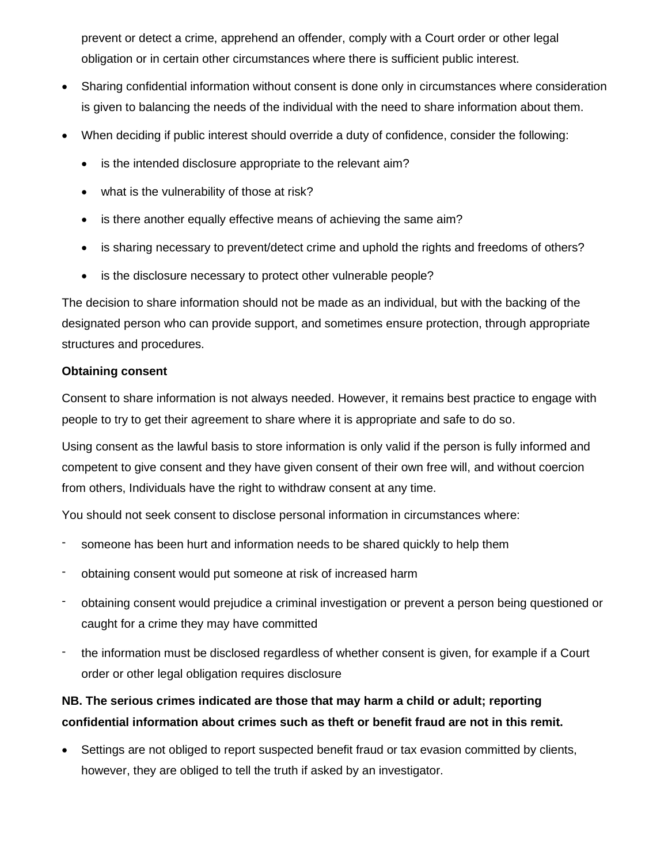prevent or detect a crime, apprehend an offender, comply with a Court order or other legal obligation or in certain other circumstances where there is sufficient public interest.

- Sharing confidential information without consent is done only in circumstances where consideration is given to balancing the needs of the individual with the need to share information about them.
- When deciding if public interest should override a duty of confidence, consider the following:
	- is the intended disclosure appropriate to the relevant aim?
	- what is the vulnerability of those at risk?
	- is there another equally effective means of achieving the same aim?
	- is sharing necessary to prevent/detect crime and uphold the rights and freedoms of others?
	- is the disclosure necessary to protect other vulnerable people?

The decision to share information should not be made as an individual, but with the backing of the designated person who can provide support, and sometimes ensure protection, through appropriate structures and procedures.

### **Obtaining consent**

Consent to share information is not always needed. However, it remains best practice to engage with people to try to get their agreement to share where it is appropriate and safe to do so.

Using consent as the lawful basis to store information is only valid if the person is fully informed and competent to give consent and they have given consent of their own free will, and without coercion from others, Individuals have the right to withdraw consent at any time.

You should not seek consent to disclose personal information in circumstances where:

- someone has been hurt and information needs to be shared quickly to help them
- obtaining consent would put someone at risk of increased harm
- obtaining consent would prejudice a criminal investigation or prevent a person being questioned or caught for a crime they may have committed
- the information must be disclosed regardless of whether consent is given, for example if a Court order or other legal obligation requires disclosure

### **NB. The serious crimes indicated are those that may harm a child or adult; reporting confidential information about crimes such as theft or benefit fraud are not in this remit.**

• Settings are not obliged to report suspected benefit fraud or tax evasion committed by clients, however, they are obliged to tell the truth if asked by an investigator.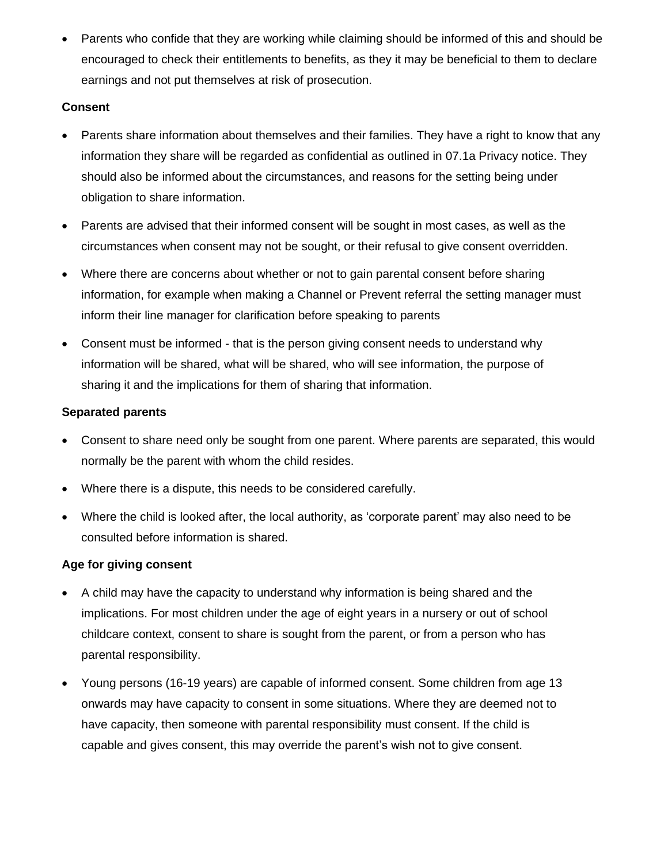• Parents who confide that they are working while claiming should be informed of this and should be encouraged to check their entitlements to benefits, as they it may be beneficial to them to declare earnings and not put themselves at risk of prosecution.

### **Consent**

- Parents share information about themselves and their families. They have a right to know that any information they share will be regarded as confidential as outlined in 07.1a Privacy notice. They should also be informed about the circumstances, and reasons for the setting being under obligation to share information.
- Parents are advised that their informed consent will be sought in most cases, as well as the circumstances when consent may not be sought, or their refusal to give consent overridden.
- Where there are concerns about whether or not to gain parental consent before sharing information, for example when making a Channel or Prevent referral the setting manager must inform their line manager for clarification before speaking to parents
- Consent must be informed that is the person giving consent needs to understand why information will be shared, what will be shared, who will see information, the purpose of sharing it and the implications for them of sharing that information.

### **Separated parents**

- Consent to share need only be sought from one parent. Where parents are separated, this would normally be the parent with whom the child resides.
- Where there is a dispute, this needs to be considered carefully.
- Where the child is looked after, the local authority, as 'corporate parent' may also need to be consulted before information is shared.

### **Age for giving consent**

- A child may have the capacity to understand why information is being shared and the implications. For most children under the age of eight years in a nursery or out of school childcare context, consent to share is sought from the parent, or from a person who has parental responsibility.
- Young persons (16-19 years) are capable of informed consent. Some children from age 13 onwards may have capacity to consent in some situations. Where they are deemed not to have capacity, then someone with parental responsibility must consent. If the child is capable and gives consent, this may override the parent's wish not to give consent.